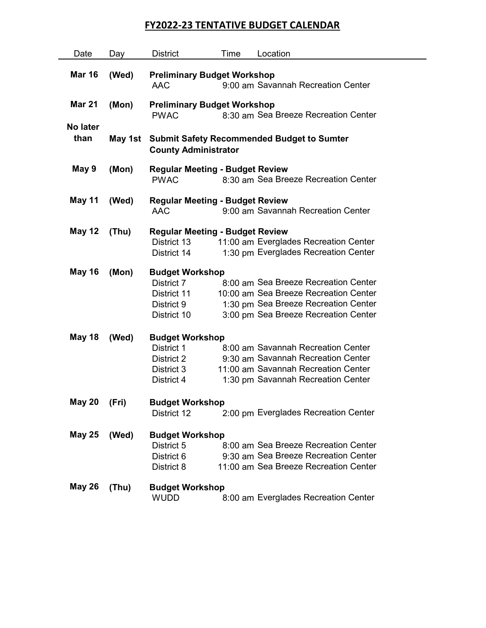## FY2022-23 TENTATIVE BUDGET CALENDAR

| Date          | Day     | <b>District</b>                                                                           | Time | Location                              |  |  |  |  |  |
|---------------|---------|-------------------------------------------------------------------------------------------|------|---------------------------------------|--|--|--|--|--|
|               |         |                                                                                           |      |                                       |  |  |  |  |  |
| <b>Mar 16</b> | (Wed)   | <b>Preliminary Budget Workshop</b>                                                        |      |                                       |  |  |  |  |  |
|               |         | <b>AAC</b>                                                                                |      | 9:00 am Savannah Recreation Center    |  |  |  |  |  |
| <b>Mar 21</b> | (Mon)   |                                                                                           |      |                                       |  |  |  |  |  |
|               |         | <b>Preliminary Budget Workshop</b><br>8:30 am Sea Breeze Recreation Center<br><b>PWAC</b> |      |                                       |  |  |  |  |  |
| No later      |         |                                                                                           |      |                                       |  |  |  |  |  |
| than          | May 1st |                                                                                           |      |                                       |  |  |  |  |  |
|               |         | <b>Submit Safety Recommended Budget to Sumter</b><br><b>County Administrator</b>          |      |                                       |  |  |  |  |  |
|               |         |                                                                                           |      |                                       |  |  |  |  |  |
| May 9         | (Mon)   | <b>Regular Meeting - Budget Review</b>                                                    |      |                                       |  |  |  |  |  |
|               |         | <b>PWAC</b>                                                                               |      | 8:30 am Sea Breeze Recreation Center  |  |  |  |  |  |
|               |         |                                                                                           |      |                                       |  |  |  |  |  |
| May 11        | (Wed)   | <b>Regular Meeting - Budget Review</b>                                                    |      |                                       |  |  |  |  |  |
|               |         | <b>AAC</b>                                                                                |      | 9:00 am Savannah Recreation Center    |  |  |  |  |  |
| <b>May 12</b> | (Thu)   | <b>Regular Meeting - Budget Review</b>                                                    |      |                                       |  |  |  |  |  |
|               |         | District 13                                                                               |      | 11:00 am Everglades Recreation Center |  |  |  |  |  |
|               |         | District 14                                                                               |      | 1:30 pm Everglades Recreation Center  |  |  |  |  |  |
|               |         |                                                                                           |      |                                       |  |  |  |  |  |
| <b>May 16</b> | (Mon)   | <b>Budget Workshop</b>                                                                    |      |                                       |  |  |  |  |  |
|               |         | District 7                                                                                |      | 8:00 am Sea Breeze Recreation Center  |  |  |  |  |  |
|               |         | District 11                                                                               |      | 10:00 am Sea Breeze Recreation Center |  |  |  |  |  |
|               |         | District 9                                                                                |      | 1:30 pm Sea Breeze Recreation Center  |  |  |  |  |  |
|               |         | District 10                                                                               |      | 3:00 pm Sea Breeze Recreation Center  |  |  |  |  |  |
|               |         |                                                                                           |      |                                       |  |  |  |  |  |
| <b>May 18</b> | (Wed)   | <b>Budget Workshop</b>                                                                    |      |                                       |  |  |  |  |  |
|               |         | District 1                                                                                |      | 8:00 am Savannah Recreation Center    |  |  |  |  |  |
|               |         | District 2                                                                                |      | 9:30 am Savannah Recreation Center    |  |  |  |  |  |
|               |         | District 3                                                                                |      | 11:00 am Savannah Recreation Center   |  |  |  |  |  |
|               |         | District 4                                                                                |      | 1:30 pm Savannah Recreation Center    |  |  |  |  |  |
|               |         |                                                                                           |      |                                       |  |  |  |  |  |
| May 20 (Fri)  |         | <b>Budget Workshop</b><br>District 12                                                     |      | 2:00 pm Everglades Recreation Center  |  |  |  |  |  |
|               |         |                                                                                           |      |                                       |  |  |  |  |  |
| <b>May 25</b> | (Wed)   | <b>Budget Workshop</b>                                                                    |      |                                       |  |  |  |  |  |
|               |         | District 5                                                                                |      | 8:00 am Sea Breeze Recreation Center  |  |  |  |  |  |
|               |         | District 6                                                                                |      | 9:30 am Sea Breeze Recreation Center  |  |  |  |  |  |
|               |         | District 8                                                                                |      | 11:00 am Sea Breeze Recreation Center |  |  |  |  |  |
|               |         |                                                                                           |      |                                       |  |  |  |  |  |
| <b>May 26</b> | (Thu)   | <b>Budget Workshop</b>                                                                    |      |                                       |  |  |  |  |  |
|               |         | <b>WUDD</b>                                                                               |      | 8:00 am Everglades Recreation Center  |  |  |  |  |  |
|               |         |                                                                                           |      |                                       |  |  |  |  |  |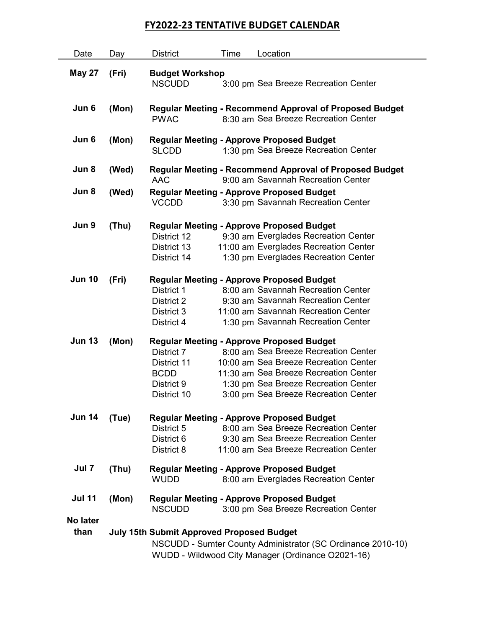## FY2022-23 TENTATIVE BUDGET CALENDAR

| Date             | Day   | <b>District</b>                                                                                                                                                      | Time | Location                                                                                                                                                                                                                                                   |  |
|------------------|-------|----------------------------------------------------------------------------------------------------------------------------------------------------------------------|------|------------------------------------------------------------------------------------------------------------------------------------------------------------------------------------------------------------------------------------------------------------|--|
| <b>May 27</b>    | (Fri) | <b>Budget Workshop</b><br><b>NSCUDD</b>                                                                                                                              |      | 3:00 pm Sea Breeze Recreation Center                                                                                                                                                                                                                       |  |
| Jun 6            | (Mon) | <b>PWAC</b>                                                                                                                                                          |      | <b>Regular Meeting - Recommend Approval of Proposed Budget</b><br>8:30 am Sea Breeze Recreation Center                                                                                                                                                     |  |
| Jun 6            | (Mon) | <b>SLCDD</b>                                                                                                                                                         |      | <b>Regular Meeting - Approve Proposed Budget</b><br>1:30 pm Sea Breeze Recreation Center                                                                                                                                                                   |  |
| Jun 8            | (Wed) | AAC                                                                                                                                                                  |      | <b>Regular Meeting - Recommend Approval of Proposed Budget</b><br>9:00 am Savannah Recreation Center                                                                                                                                                       |  |
| Jun 8            | (Wed) | <b>VCCDD</b>                                                                                                                                                         |      | <b>Regular Meeting - Approve Proposed Budget</b><br>3:30 pm Savannah Recreation Center                                                                                                                                                                     |  |
| Jun 9            | (Thu) | District 12<br>District 13<br>District 14                                                                                                                            |      | <b>Regular Meeting - Approve Proposed Budget</b><br>9:30 am Everglades Recreation Center<br>11:00 am Everglades Recreation Center<br>1:30 pm Everglades Recreation Center                                                                                  |  |
| <b>Jun 10</b>    | (Fri) | District 1<br>District 2<br>District 3<br>District 4                                                                                                                 |      | <b>Regular Meeting - Approve Proposed Budget</b><br>8:00 am Savannah Recreation Center<br>9:30 am Savannah Recreation Center<br>11:00 am Savannah Recreation Center<br>1:30 pm Savannah Recreation Center                                                  |  |
| <b>Jun 13</b>    | (Mon) | District 7<br>District 11<br><b>BCDD</b><br>District 9<br>District 10                                                                                                |      | <b>Regular Meeting - Approve Proposed Budget</b><br>8:00 am Sea Breeze Recreation Center<br>10:00 am Sea Breeze Recreation Center<br>11:30 am Sea Breeze Recreation Center<br>1:30 pm Sea Breeze Recreation Center<br>3:00 pm Sea Breeze Recreation Center |  |
| <b>Jun 14</b>    | (Tue) | District 5<br>District 6<br>District 8                                                                                                                               |      | <b>Regular Meeting - Approve Proposed Budget</b><br>8:00 am Sea Breeze Recreation Center<br>9:30 am Sea Breeze Recreation Center<br>11:00 am Sea Breeze Recreation Center                                                                                  |  |
| Jul 7            | (Thu) | <b>WUDD</b>                                                                                                                                                          |      | <b>Regular Meeting - Approve Proposed Budget</b><br>8:00 am Everglades Recreation Center                                                                                                                                                                   |  |
| <b>Jul 11</b>    | (Mon) | <b>NSCUDD</b>                                                                                                                                                        |      | <b>Regular Meeting - Approve Proposed Budget</b><br>3:00 pm Sea Breeze Recreation Center                                                                                                                                                                   |  |
| No later<br>than |       | <b>July 15th Submit Approved Proposed Budget</b><br>NSCUDD - Sumter County Administrator (SC Ordinance 2010-10)<br>WUDD - Wildwood City Manager (Ordinance O2021-16) |      |                                                                                                                                                                                                                                                            |  |